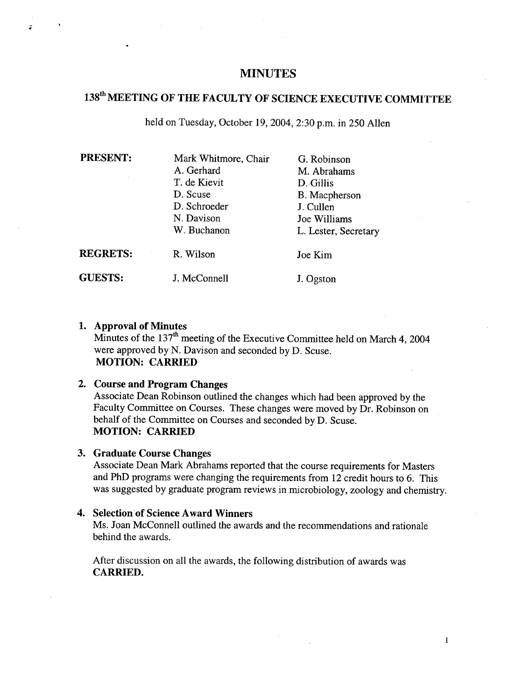### **MINUTES**

# **1381h MEETING OF THE FACULTY OF SCIENCE EXECUTIVE COMMITTEE**

held on Tuesday, October 19, 2004, 2:30 p.m. in *250* AlIen

| <b>PRESENT:</b> | Mark Whitmore, Chair | G. Robinson          |
|-----------------|----------------------|----------------------|
|                 | A. Gerhard           | M. Abrahams          |
|                 | T. de Kievit         | D. Gillis            |
|                 | D. Scuse             | B. Macpherson        |
|                 | D. Schroeder         | J. Cullen            |
|                 | N. Davison           | Joe Williams         |
|                 | W. Buchanon          | L. Lester, Secretary |
| <b>REGRETS:</b> | R. Wilson            | Joe Kim              |
| <b>GUESTS:</b>  | J. McConnell         | J. Ogston            |

#### **Approval of Minutes**

Minutes of the 137<sup>th</sup> meeting of the Executive Committee held on March 4, 2004 were approved by N. Davison and seconded by D. Scuse. **MOTION: CARRIED** 

## **Course and Program Changes**

Associate Dean Robinson outlined the changes which had been approved by the Faculty Committee on Courses. These changes were moved by Dr. Robinson on behalf of the Committee on Courses and seconded by D. Scuse. **MOTION: CARRIED** 

#### **Graduate Course Changes**

Associate Dean Mark Abrahams reported that the course requirements for Masters and PhD programs were changing the requirements from 12 credit hours to 6. This was suggested by graduate program reviews in microbiology, zoology and chemistry.

## **Selection of Science Award Winners**

Ms. Joan McConnell outlined the awards and the recommendations and rationale behind the awards.

After discussion on all the awards, the following distribution of awards was **CARRIED.**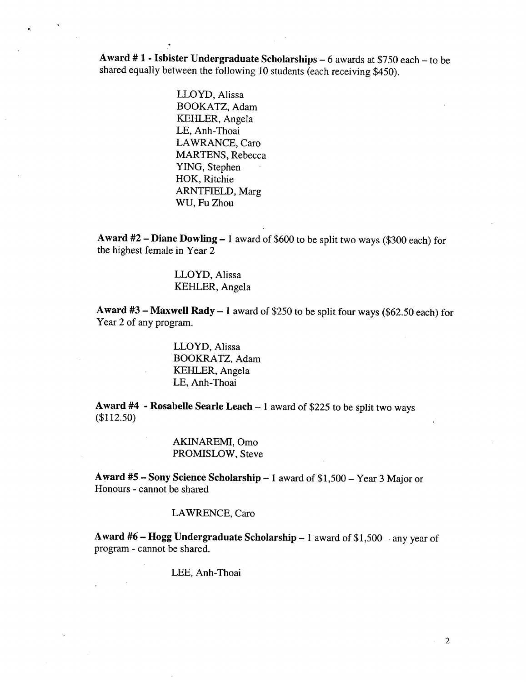**Award # I - Isbister Undergraduate Scholarships -** 6 awards at *\$750* each - to be shared equally between the following 10 students (each receiving \$450).

> LLOYD, Alissa BOOKATZ, Adam KEHLER, Angela LE, Anh-Thoai LAWRANCE, Caro MARTENS, Rebecca YING, Stephen HOK, Ritchie ARNTFIELD, Marg WU, Fu Zhou

Award #2 - Diane Dowling - 1 award of \$600 to be split two ways (\$300 each) for the highest female in Year 2

> LLOYD, Alissa KEHLER, Angela

**Award #3— Maxwell Rady -** 1 award of *\$250* to be split four ways (\$62.50 each) for Year 2 of any program.

> LLOYD, Alissa BOOKRATZ, Adam KEHLER, Angela LE, Anh-Thoai

**Award** #4 - **Rosabelle Searle Leach -** 1 award of \$225 to be split two ways (\$112.50)

> AKINAREMI, Omo PROMISLOW, Steve

**Award** *#5—* **Sony Science Scholarship -** 1 award of \$1,500 - Year 3 Major or Honours - cannot be shared

#### LAWRENCE, Caro

**Award #6** - **Hogg Undergraduate Scholarship -** 1 award of \$1,500 - any year of program - cannot be shared.

LEE, Anh-Thoai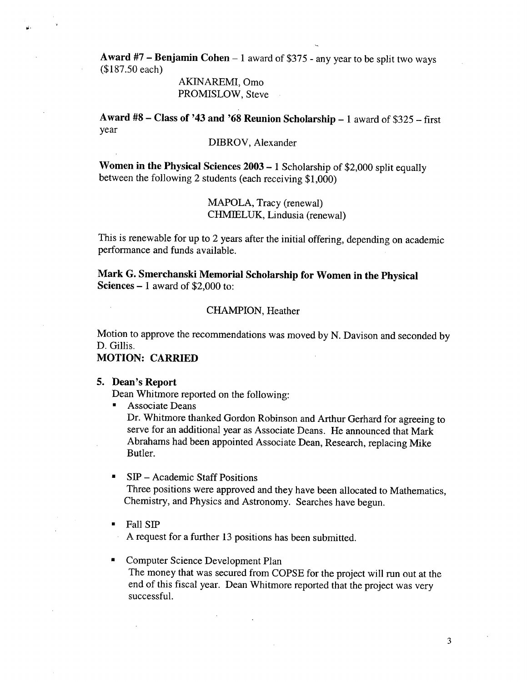**Award** #7 - **Benjamin Cohen -** 1 award of *\$375* - any year to be split two ways (\$187.50 each)

> AKINAREMI, Omo PROMISLOW, Steve

**Award #8— Class of** 1**43 and '68 Reunion Scholarship -** 1 award of *\$325* - first year

DIBROV, Alexander

**Women in the Physical Sciences 2003 -** 1 Scholarship of \$2,000 split equally between the following 2 students (each receiving \$1,000)

> MAPOLA, Tracy (renewal) CHMIELUK, Lindusia (renewal)

This is renewable for up to 2 years after the initial offering, depending on academic performance and funds available.

**Mark G. Smerchanski Memorial Scholarship for Women in the Physical Sciences -** 1 award of \$2,000 to:

#### CHAMPION, Heather

Motion to approve the recommendations was moved by N. Davison and seconded by D. Gillis.

## **MOTION: CARRIED**

#### **5. Dean's Report**

Dean Whitmore reported on the following:

 $\blacksquare$ Associate Deans

Dr. Whitmore thanked Gordon Robinson and Arthur Gerhard for agreeing to serve for an additional year as Associate Deans. He announced that Mark Abrahams had been appointed Associate Dean, Research, replacing Mike Butler.

#### SIP - Academic Staff Positions

Three positions were approved and they have been allocated to Mathematics, Chemistry, and Physics and Astronomy. Searches have begun.

Fall SIP

A request for a further 13 positions has been submitted.

## Computer Science Development Plan

The money that was secured from COPSE for the project will run out at the end of this fiscal year. Dean Whitmore reported that the project was very successful.

3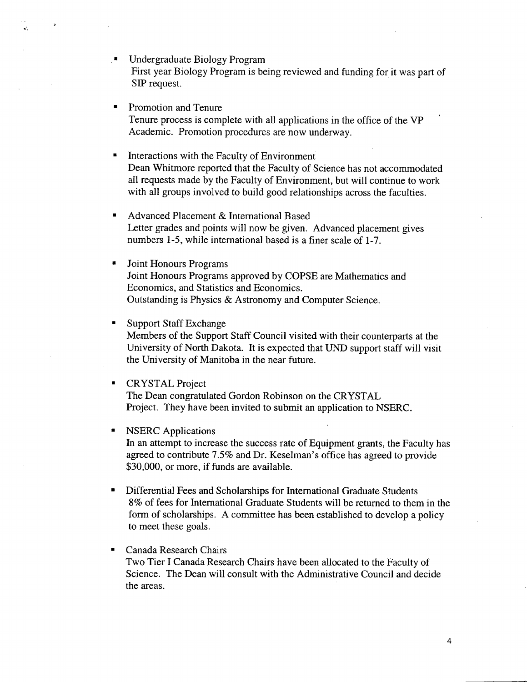- Undergraduate Biology Program First year Biology Program is being reviewed and funding for it was part of SIP request.
- Promotion and Tenure Tenure process is complete with all applications in the office of the VP Academic. Promotion procedures are now underway.
- Interactions with the Faculty of Environment Dean Whitmore reported that the Faculty of Science has not accommodated all requests made by the Faculty of Environment, but will continue to work with all groups involved to build good relationships across the faculties.
- Advanced Placement & International Based Letter grades and points will now be given. Advanced placement gives numbers 1-5, while international based is a finer scale of 1-7.
- Joint Honours Programs Joint Honours Programs approved by COPSE are Mathematics and Economics, and Statistics and Economics. Outstanding is Physics & Astronomy and Computer Science.
- Support Staff Exchange Members of the Support Staff Council visited with their counterparts at the University of North Dakota. It is expected that UND support staff will visit the University of Manitoba in the near future.
- CRYSTAL Project  $\blacksquare$ The Dean congratulated Gordon Robinson on the CRYSTAL Project. They have been invited to submit an application to NSERC.
- NSERC Applications In an attempt to increase the success rate of Equipment grants, the Faculty has agreed to contribute 7.5% and Dr. Keselman's office has agreed to provide \$30,000, or more, if funds are available.
- Differential Fees and Scholarships for International Graduate Students  $\blacksquare$ 8% of fees for International Graduate Students will be returned to them in the form of scholarships. A committee has been established to develop a policy to meet these goals.
- Canada Research Chairs Two Tier I Canada Research Chairs have been allocated to the Faculty of Science. The Dean will consult with the Administrative Council and decide the areas.

4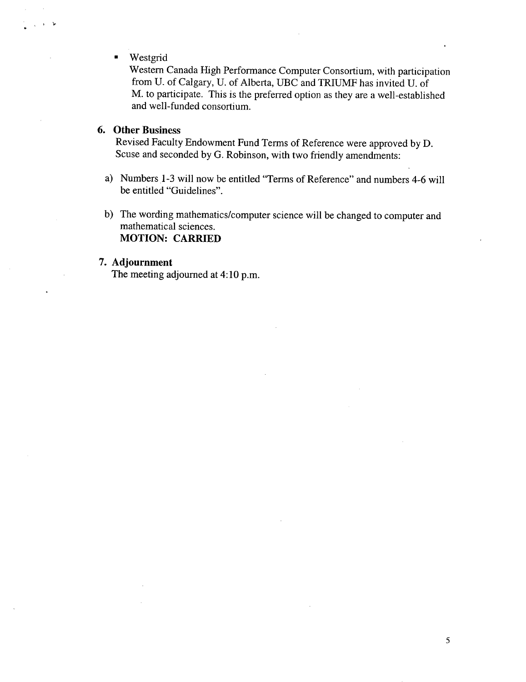#### Westgrid

Western Canada High Performance Computer Consortium, with participation from U. of Calgary, U. of Alberta, UBC and TRIUMF has invited U. of M. to participate. This is the preferred option as they are a well-established and well-funded consortium.

#### **6. Other Business**

Revised Faculty Endowment Fund Terms of Reference were approved by D. Scuse and seconded by G. Robinson, with two friendly amendments:

- Numbers 1-3 will now be entitled "Terms of Reference" and numbers 4-6 will be entitled "Guidelines".
- b) The wording mathematics/computer science will be changed to computer and mathematical sciences. **MOTION: CARRIED**

#### 7. **Adjournment**

The meeting adjourned at 4:10 p.m.